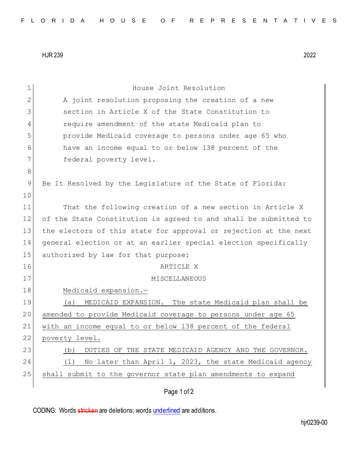HJR 239 2022

| 1             | House Joint Resolution                                           |
|---------------|------------------------------------------------------------------|
| 2             | A joint resolution proposing the creation of a new               |
| 3             | section in Article X of the State Constitution to                |
| 4             | require amendment of the state Medicaid plan to                  |
| 5             | provide Medicaid coverage to persons under age 65 who            |
| 6             | have an income equal to or below 138 percent of the              |
| 7             | federal poverty level.                                           |
| 8             |                                                                  |
| $\mathcal{G}$ | Be It Resolved by the Legislature of the State of Florida:       |
| 10            |                                                                  |
| 11            | That the following creation of a new section in Article X        |
| 12            | of the State Constitution is agreed to and shall be submitted to |
| 13            | the electors of this state for approval or rejection at the next |
| 14            | general election or at an earlier special election specifically  |
| 15            | authorized by law for that purpose:                              |
| 16            | ARTICLE X                                                        |
| 17            | MISCELLANEOUS                                                    |
| 18            | Medicaid expansion.-                                             |
| 19            | MEDICAID EXPANSION. The state Medicaid plan shall be<br>(a)      |
| 20            | amended to provide Medicaid coverage to persons under age 65     |
| 21            | with an income equal to or below 138 percent of the federal      |
| 22            | poverty level.                                                   |
| 23            | DUTIES OF THE STATE MEDICAID AGENCY AND THE GOVERNOR.<br>(b)     |
| 24            | No later than April 1, 2023, the state Medicaid agency<br>(1)    |
| 25            | shall submit to the governor state plan amendments to expand     |
|               | Page 1 of 2                                                      |
|               |                                                                  |

CODING: Words stricken are deletions; words underlined are additions.